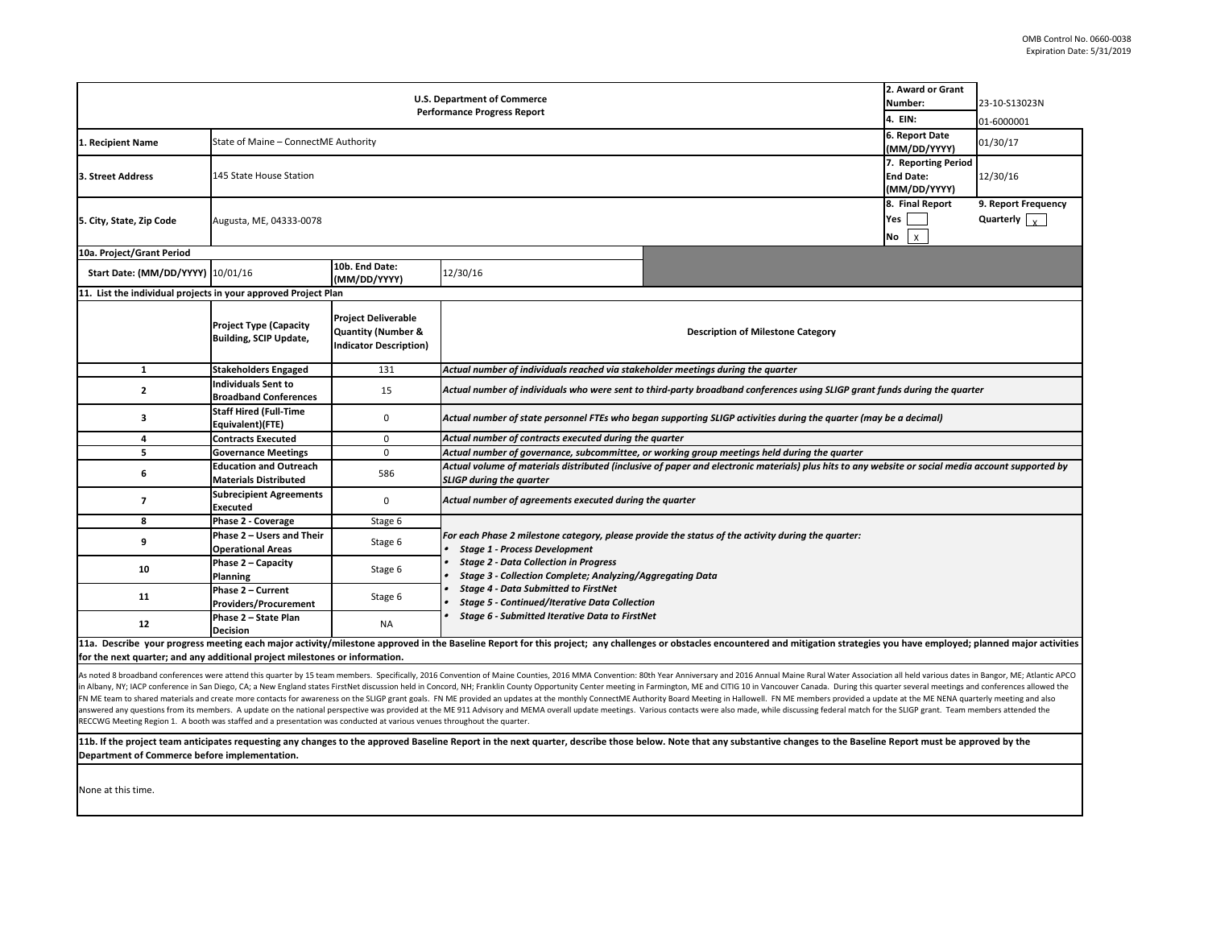| <b>U.S. Department of Commerce</b><br><b>Performance Progress Report</b>                                                |                                                                |                                                                                              |                                                                                                                                                                                       |                                                                                                                                                                                                                                                                                                                                                                                                                                                                                                                                                                                                                                                                                                                                                                                                                                                                                                                                      |                                                        | 23-10-S13023N<br>01-6000001                 |  |  |  |
|-------------------------------------------------------------------------------------------------------------------------|----------------------------------------------------------------|----------------------------------------------------------------------------------------------|---------------------------------------------------------------------------------------------------------------------------------------------------------------------------------------|--------------------------------------------------------------------------------------------------------------------------------------------------------------------------------------------------------------------------------------------------------------------------------------------------------------------------------------------------------------------------------------------------------------------------------------------------------------------------------------------------------------------------------------------------------------------------------------------------------------------------------------------------------------------------------------------------------------------------------------------------------------------------------------------------------------------------------------------------------------------------------------------------------------------------------------|--------------------------------------------------------|---------------------------------------------|--|--|--|
| 1. Recipient Name                                                                                                       | State of Maine - ConnectME Authority                           |                                                                                              |                                                                                                                                                                                       |                                                                                                                                                                                                                                                                                                                                                                                                                                                                                                                                                                                                                                                                                                                                                                                                                                                                                                                                      |                                                        | 01/30/17                                    |  |  |  |
| 3. Street Address                                                                                                       | 145 State House Station                                        |                                                                                              |                                                                                                                                                                                       |                                                                                                                                                                                                                                                                                                                                                                                                                                                                                                                                                                                                                                                                                                                                                                                                                                                                                                                                      |                                                        | 12/30/16                                    |  |  |  |
| 5. City, State, Zip Code                                                                                                | Augusta, ME, 04333-0078                                        |                                                                                              |                                                                                                                                                                                       |                                                                                                                                                                                                                                                                                                                                                                                                                                                                                                                                                                                                                                                                                                                                                                                                                                                                                                                                      | 8. Final Report<br>Yes<br>$\mathsf{No}$   $\mathsf{X}$ | 9. Report Frequency<br>Quarterly $\sqrt{x}$ |  |  |  |
| 10a. Project/Grant Period                                                                                               |                                                                |                                                                                              |                                                                                                                                                                                       |                                                                                                                                                                                                                                                                                                                                                                                                                                                                                                                                                                                                                                                                                                                                                                                                                                                                                                                                      |                                                        |                                             |  |  |  |
| Start Date: (MM/DD/YYYY) 10/01/16                                                                                       |                                                                | 10b. End Date:<br>(MM/DD/YYYY)                                                               | 12/30/16                                                                                                                                                                              |                                                                                                                                                                                                                                                                                                                                                                                                                                                                                                                                                                                                                                                                                                                                                                                                                                                                                                                                      |                                                        |                                             |  |  |  |
| 11. List the individual projects in your approved Project Plan                                                          |                                                                |                                                                                              |                                                                                                                                                                                       |                                                                                                                                                                                                                                                                                                                                                                                                                                                                                                                                                                                                                                                                                                                                                                                                                                                                                                                                      |                                                        |                                             |  |  |  |
|                                                                                                                         | <b>Project Type (Capacity</b><br><b>Building, SCIP Update,</b> | <b>Project Deliverable</b><br><b>Quantity (Number &amp;</b><br><b>Indicator Description)</b> |                                                                                                                                                                                       | <b>Description of Milestone Category</b>                                                                                                                                                                                                                                                                                                                                                                                                                                                                                                                                                                                                                                                                                                                                                                                                                                                                                             |                                                        |                                             |  |  |  |
|                                                                                                                         | <b>Stakeholders Engaged</b>                                    | 131                                                                                          | Actual number of individuals reached via stakeholder meetings during the quarter                                                                                                      |                                                                                                                                                                                                                                                                                                                                                                                                                                                                                                                                                                                                                                                                                                                                                                                                                                                                                                                                      |                                                        |                                             |  |  |  |
| $\overline{2}$                                                                                                          | <b>Individuals Sent to</b><br><b>Broadband Conferences</b>     | 15                                                                                           | Actual number of individuals who were sent to third-party broadband conferences using SLIGP grant funds during the quarter                                                            |                                                                                                                                                                                                                                                                                                                                                                                                                                                                                                                                                                                                                                                                                                                                                                                                                                                                                                                                      |                                                        |                                             |  |  |  |
| 3                                                                                                                       | <b>Staff Hired (Full-Time</b><br>Equivalent)(FTE)              | 0                                                                                            | Actual number of state personnel FTEs who began supporting SLIGP activities during the quarter (may be a decimal)                                                                     |                                                                                                                                                                                                                                                                                                                                                                                                                                                                                                                                                                                                                                                                                                                                                                                                                                                                                                                                      |                                                        |                                             |  |  |  |
|                                                                                                                         | <b>Contracts Executed</b>                                      | 0                                                                                            | Actual number of contracts executed during the quarter                                                                                                                                |                                                                                                                                                                                                                                                                                                                                                                                                                                                                                                                                                                                                                                                                                                                                                                                                                                                                                                                                      |                                                        |                                             |  |  |  |
|                                                                                                                         | <b>Governance Meetings</b>                                     | 0                                                                                            | Actual number of governance, subcommittee, or working group meetings held during the quarter                                                                                          |                                                                                                                                                                                                                                                                                                                                                                                                                                                                                                                                                                                                                                                                                                                                                                                                                                                                                                                                      |                                                        |                                             |  |  |  |
| 6                                                                                                                       | <b>Education and Outreach</b><br><b>Materials Distributed</b>  | 586                                                                                          | Actual volume of materials distributed (inclusive of paper and electronic materials) plus hits to any website or social media account supported by<br><b>SLIGP during the quarter</b> |                                                                                                                                                                                                                                                                                                                                                                                                                                                                                                                                                                                                                                                                                                                                                                                                                                                                                                                                      |                                                        |                                             |  |  |  |
|                                                                                                                         | <b>Subrecipient Agreements</b><br>Executed                     | 0                                                                                            | Actual number of agreements executed during the quarter                                                                                                                               |                                                                                                                                                                                                                                                                                                                                                                                                                                                                                                                                                                                                                                                                                                                                                                                                                                                                                                                                      |                                                        |                                             |  |  |  |
| 8                                                                                                                       | <b>Phase 2 - Coverage</b>                                      | Stage 6                                                                                      |                                                                                                                                                                                       |                                                                                                                                                                                                                                                                                                                                                                                                                                                                                                                                                                                                                                                                                                                                                                                                                                                                                                                                      |                                                        |                                             |  |  |  |
|                                                                                                                         | Phase 2 - Users and Their<br><b>Operational Areas</b>          | Stage 6                                                                                      | For each Phase 2 milestone category, please provide the status of the activity during the quarter:<br><b>Stage 1 - Process Development</b>                                            |                                                                                                                                                                                                                                                                                                                                                                                                                                                                                                                                                                                                                                                                                                                                                                                                                                                                                                                                      |                                                        |                                             |  |  |  |
| 10                                                                                                                      | <b>Phase <math>2 -</math> Capacity</b><br><b>Planning</b>      | Stage 6                                                                                      | <b>Stage 2 - Data Collection in Progress</b><br>Stage 3 - Collection Complete; Analyzing/Aggregating Data                                                                             |                                                                                                                                                                                                                                                                                                                                                                                                                                                                                                                                                                                                                                                                                                                                                                                                                                                                                                                                      |                                                        |                                             |  |  |  |
| <b>11</b>                                                                                                               | <b>Phase 2 - Current</b><br><b>Providers/Procurement</b>       | Stage 6                                                                                      | <b>Stage 4 - Data Submitted to FirstNet</b><br><b>Stage 5 - Continued/Iterative Data Collection</b>                                                                                   |                                                                                                                                                                                                                                                                                                                                                                                                                                                                                                                                                                                                                                                                                                                                                                                                                                                                                                                                      |                                                        |                                             |  |  |  |
| 12                                                                                                                      | Phase 2 - State Plan<br>Decision                               | <b>NA</b>                                                                                    | Stage 6 - Submitted Iterative Data to FirstNet                                                                                                                                        |                                                                                                                                                                                                                                                                                                                                                                                                                                                                                                                                                                                                                                                                                                                                                                                                                                                                                                                                      |                                                        |                                             |  |  |  |
| for the next quarter; and any additional project milestones or information.                                             |                                                                |                                                                                              |                                                                                                                                                                                       | 11a. Describe your progress meeting each major activity/milestone approved in the Baseline Report for this project; any challenges or obstacles encountered and mitigation strategies you have employed; planned major activit                                                                                                                                                                                                                                                                                                                                                                                                                                                                                                                                                                                                                                                                                                       |                                                        |                                             |  |  |  |
| RECCWG Meeting Region 1. A booth was staffed and a presentation was conducted at various venues throughout the quarter. |                                                                |                                                                                              |                                                                                                                                                                                       | As noted 8 broadband conferences were attend this quarter by 15 team members. Specifically, 2016 Convention of Maine Counties, 2016 MMA Convention: 80th Year Anniversary and 2016 Annual Maine Rural Water Association all he<br>in Albany, NY; IACP conference in San Diego, CA; a New England states FirstNet discussion held in Concord, NH; Franklin County Opportunity Center meeting in Farmington, ME and CITIG 10 in Vancouver Canada. During this quar<br>FN ME team to shared materials and create more contacts for awareness on the SLIGP grant goals. FN ME provided an updates at the monthly ConnectME Authority Board Meeting in Hallowell. FN ME members provided a update at th<br>answered any questions from its members. A update on the national perspective was provided at the ME 911 Advisory and MEMA overall update meetings. Various contacts were also made, while discussing federal match for the SL |                                                        |                                             |  |  |  |
| Department of Commerce before implementation.                                                                           |                                                                |                                                                                              |                                                                                                                                                                                       | 11b. If the project team anticipates requesting any changes to the approved Baseline Report in the next quarter, describe those below. Note that any substantive changes to the Baseline Report must be approved by the                                                                                                                                                                                                                                                                                                                                                                                                                                                                                                                                                                                                                                                                                                              |                                                        |                                             |  |  |  |
| None at this time.                                                                                                      |                                                                |                                                                                              |                                                                                                                                                                                       |                                                                                                                                                                                                                                                                                                                                                                                                                                                                                                                                                                                                                                                                                                                                                                                                                                                                                                                                      |                                                        |                                             |  |  |  |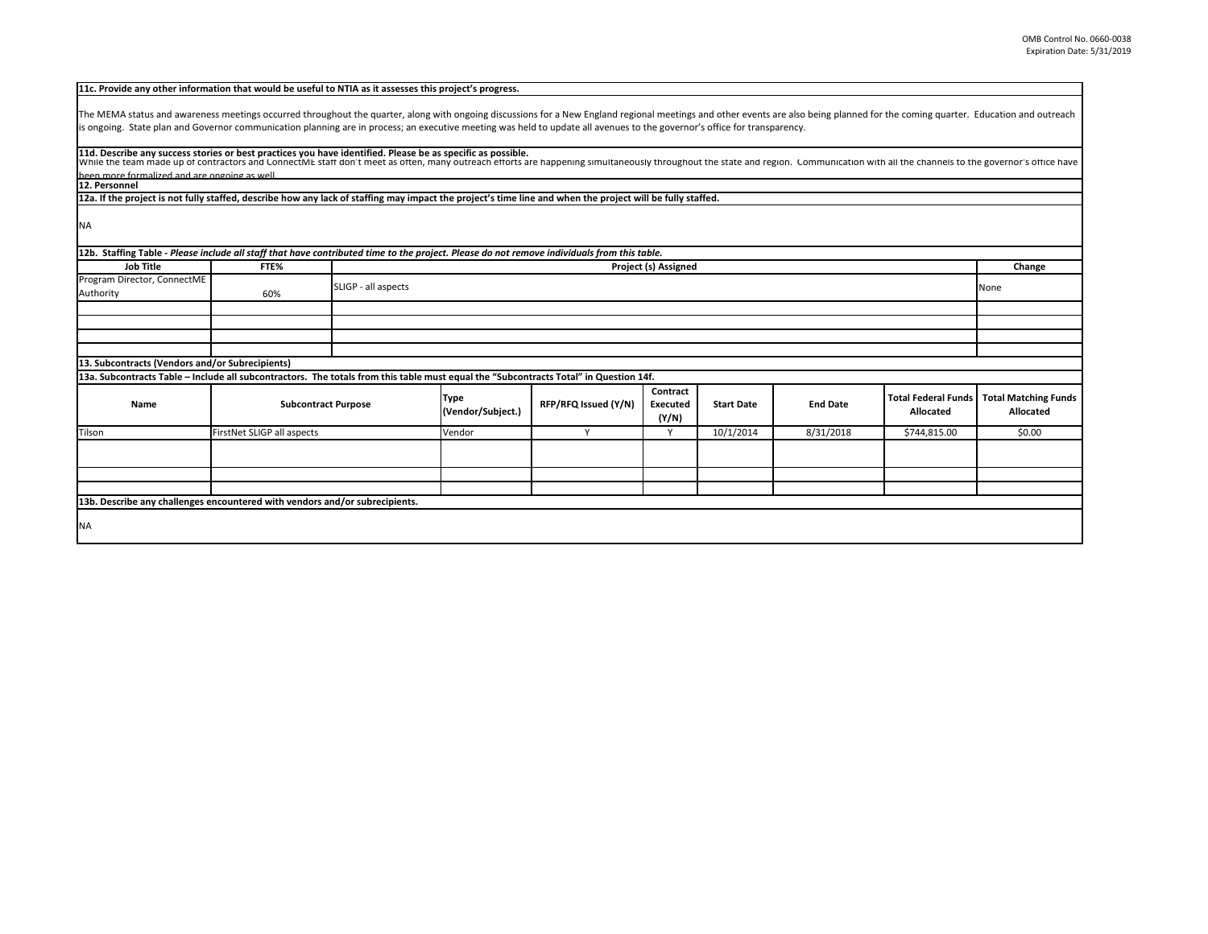| 11c. Provide any other information that would be useful to NTIA as it assesses this project's progress.                                                                                                                                                                                                                                                                                                     |                            |  |                           |                      |                                      |                   |                 |                                                |                                                 |
|-------------------------------------------------------------------------------------------------------------------------------------------------------------------------------------------------------------------------------------------------------------------------------------------------------------------------------------------------------------------------------------------------------------|----------------------------|--|---------------------------|----------------------|--------------------------------------|-------------------|-----------------|------------------------------------------------|-------------------------------------------------|
| The MEMA status and awareness meetings occurred throughout the quarter, along with ongoing discussions for a New England regional meetings and other events are also being planned for the coming quarter. Education and outre<br>is ongoing. State plan and Governor communication planning are in process; an executive meeting was held to update all avenues to the governor's office for transparency. |                            |  |                           |                      |                                      |                   |                 |                                                |                                                 |
| 11d. Describe any success stories or best practices you have identified. Please be as specific as possible.<br>While the team made up of contractors and ConnectME staff don't meet as often, many outreach efforts are happening simultaneously throughout the state and region. Communication with all the channels to the governor's offic<br>heen more formalized and are ongoing as well               |                            |  |                           |                      |                                      |                   |                 |                                                |                                                 |
| 12. Personnel                                                                                                                                                                                                                                                                                                                                                                                               |                            |  |                           |                      |                                      |                   |                 |                                                |                                                 |
| [12a. If the project is not fully staffed, describe how any lack of staffing may impact the project's time line and when the project will be fully staffed.                                                                                                                                                                                                                                                 |                            |  |                           |                      |                                      |                   |                 |                                                |                                                 |
| <b>NA</b>                                                                                                                                                                                                                                                                                                                                                                                                   |                            |  |                           |                      |                                      |                   |                 |                                                |                                                 |
| [12b. Staffing Table - Please include all staff that have contributed time to the project. Please do not remove individuals from this table.                                                                                                                                                                                                                                                                |                            |  |                           |                      |                                      |                   |                 |                                                |                                                 |
| <b>Job Title</b>                                                                                                                                                                                                                                                                                                                                                                                            | FTE%                       |  |                           |                      | <b>Project (s) Assigned</b>          |                   |                 |                                                | Change                                          |
| Program Director, ConnectME<br>Authority                                                                                                                                                                                                                                                                                                                                                                    | SLIGP - all aspects<br>60% |  |                           |                      |                                      |                   | None            |                                                |                                                 |
|                                                                                                                                                                                                                                                                                                                                                                                                             |                            |  |                           |                      |                                      |                   |                 |                                                |                                                 |
|                                                                                                                                                                                                                                                                                                                                                                                                             |                            |  |                           |                      |                                      |                   |                 |                                                |                                                 |
|                                                                                                                                                                                                                                                                                                                                                                                                             |                            |  |                           |                      |                                      |                   |                 |                                                |                                                 |
|                                                                                                                                                                                                                                                                                                                                                                                                             |                            |  |                           |                      |                                      |                   |                 |                                                |                                                 |
| 13. Subcontracts (Vendors and/or Subrecipients)                                                                                                                                                                                                                                                                                                                                                             |                            |  |                           |                      |                                      |                   |                 |                                                |                                                 |
| 13a. Subcontracts Table – Include all subcontractors. The totals from this table must equal the "Subcontracts Total" in Question 14f.                                                                                                                                                                                                                                                                       |                            |  |                           |                      |                                      |                   |                 |                                                |                                                 |
| <b>Name</b>                                                                                                                                                                                                                                                                                                                                                                                                 | <b>Subcontract Purpose</b> |  | Type<br>(Vendor/Subject.) | RFP/RFQ Issued (Y/N) | Contract<br><b>Executed</b><br>(Y/N) | <b>Start Date</b> | <b>End Date</b> | <b>Total Federal Funds</b><br><b>Allocated</b> | <b>Total Matching Funds</b><br><b>Allocated</b> |
| Tilson                                                                                                                                                                                                                                                                                                                                                                                                      | FirstNet SLIGP all aspects |  | Vendor                    | Y                    | Y                                    | 10/1/2014         | 8/31/2018       | \$744,815.00                                   | \$0.00                                          |
|                                                                                                                                                                                                                                                                                                                                                                                                             |                            |  |                           |                      |                                      |                   |                 |                                                |                                                 |
|                                                                                                                                                                                                                                                                                                                                                                                                             |                            |  |                           |                      |                                      |                   |                 |                                                |                                                 |
| 13b. Describe any challenges encountered with vendors and/or subrecipients.                                                                                                                                                                                                                                                                                                                                 |                            |  |                           |                      |                                      |                   |                 |                                                |                                                 |
|                                                                                                                                                                                                                                                                                                                                                                                                             |                            |  |                           |                      |                                      |                   |                 |                                                |                                                 |
| <b>NA</b>                                                                                                                                                                                                                                                                                                                                                                                                   |                            |  |                           |                      |                                      |                   |                 |                                                |                                                 |